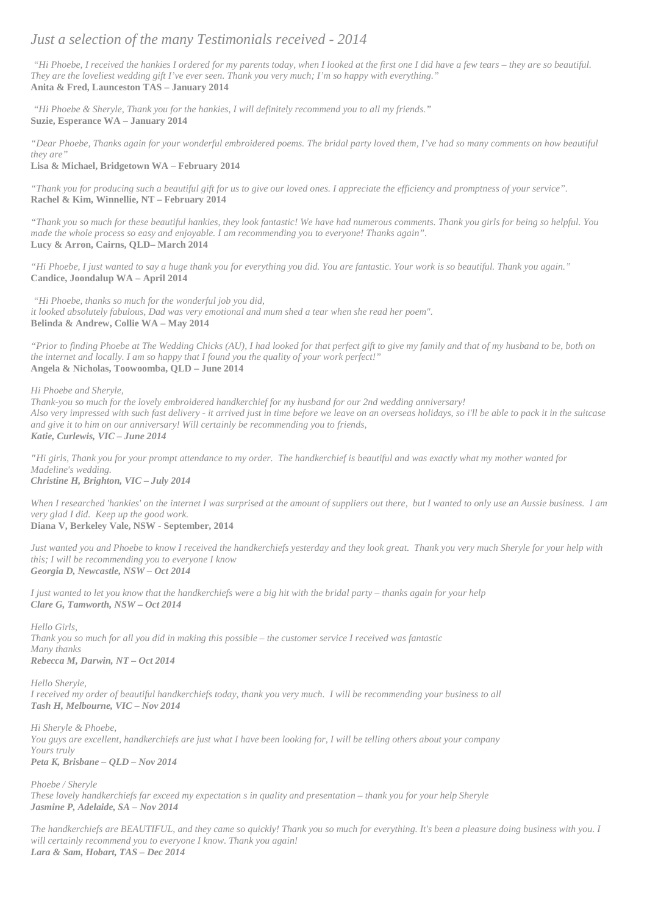## *Just a selection of the many Testimonials received - 2014*

*"Hi Phoebe, I received the hankies I ordered for my parents today, when I looked at the first one I did have a few tears – they are so beautiful. They are the loveliest wedding gift I've ever seen. Thank you very much; I'm so happy with everything."* **Anita & Fred, Launceston TAS – January 2014**

*"Hi Phoebe & Sheryle, Thank you for the hankies, I will definitely recommend you to all my friends."* **Suzie, Esperance WA – January 2014**

*"Dear Phoebe, Thanks again for your wonderful embroidered poems. The bridal party loved them, I've had so many comments on how beautiful they are"*

**Lisa & Michael, Bridgetown WA – February 2014**

*"Thank you for producing such a beautiful gift for us to give our loved ones. I appreciate the efficiency and promptness of your service".* **Rachel & Kim, Winnellie, NT – February 2014**

*"Thank you so much for these beautiful hankies, they look fantastic! We have had numerous comments. Thank you girls for being so helpful. You made the whole process so easy and enjoyable. I am recommending you to everyone! Thanks again".* **Lucy & Arron, Cairns, QLD– March 2014**

*"Hi Phoebe, I just wanted to say a huge thank you for everything you did. You are fantastic. Your work is so beautiful. Thank you again."* **Candice, Joondalup WA – April 2014**

*"Hi Phoebe, thanks so much for the wonderful job you did, it looked absolutely fabulous, Dad was very emotional and mum shed a tear when she read her poem".* **Belinda & Andrew, Collie WA – May 2014**

*"Prior to finding Phoebe at The Wedding Chicks (AU), I had looked for that perfect gift to give my family and that of my husband to be, both on the internet and locally. I am so happy that I found you the quality of your work perfect!"* **Angela & Nicholas, Toowoomba, QLD – June 2014**

*Hi Phoebe and Sheryle,*

*Thank-you so much for the lovely embroidered handkerchief for my husband for our 2nd wedding anniversary! Also very impressed with such fast delivery - it arrived just in time before we leave on an overseas holidays, so i'll be able to pack it in the suitcase and give it to him on our anniversary! Will certainly be recommending you to friends, Katie, Curlewis, VIC – June 2014*

*"Hi girls, Thank you for your prompt attendance to my order. The handkerchief is beautiful and was exactly what my mother wanted for Madeline's wedding. Christine H, Brighton, VIC – July 2014*

*When I researched 'hankies' on the internet I was surprised at the amount of suppliers out there, but I wanted to only use an Aussie business. I am very glad I did. Keep up the good work.*

**Diana V, Berkeley Vale, NSW - September, 2014**

*Just wanted you and Phoebe to know I received the handkerchiefs yesterday and they look great. Thank you very much Sheryle for your help with this; I will be recommending you to everyone I know Georgia D, Newcastle, NSW – Oct 2014*

*I just wanted to let you know that the handkerchiefs were a big hit with the bridal party – thanks again for your help Clare G, Tamworth, NSW – Oct 2014*

*Hello Girls,*

*Thank you so much for all you did in making this possible – the customer service I received was fantastic Many thanks Rebecca M, Darwin, NT – Oct 2014*

*Hello Sheryle, I received my order of beautiful handkerchiefs today, thank you very much. I will be recommending your business to all Tash H, Melbourne, VIC – Nov 2014*

*Hi Sheryle & Phoebe, You guys are excellent, handkerchiefs are just what I have been looking for, I will be telling others about your company Yours truly Peta K, Brisbane – QLD – Nov 2014*

*Phoebe / Sheryle These lovely handkerchiefs far exceed my expectation s in quality and presentation – thank you for your help Sheryle Jasmine P, Adelaide, SA – Nov 2014*

*The handkerchiefs are BEAUTIFUL, and they came so quickly! Thank you so much for everything. It's been a pleasure doing business with you. I will certainly recommend you to everyone I know. Thank you again! Lara & Sam, Hobart, TAS – Dec 2014*